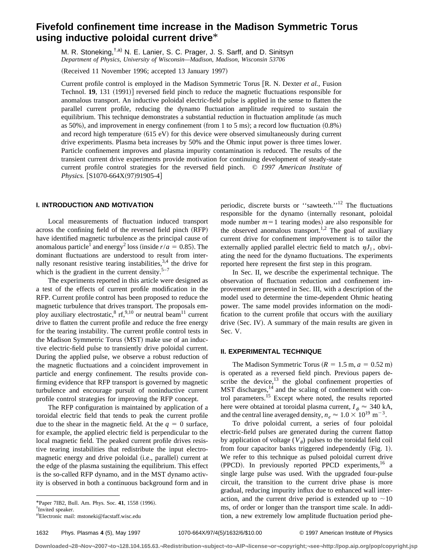# **Fivefold confinement time increase in the Madison Symmetric Torus using inductive poloidal current drive**\*

M. R. Stoneking, <sup>†,a)</sup> N. E. Lanier, S. C. Prager, J. S. Sarff, and D. Sinitsyn *Department of Physics, University of Wisconsin—Madison, Madison, Wisconsin 53706*

(Received 11 November 1996; accepted 13 January 1997)

Current profile control is employed in the Madison Symmetric Torus [R. N. Dexter *et al.*, Fusion Technol. **19**, 131 (1991)] reversed field pinch to reduce the magnetic fluctuations responsible for anomalous transport. An inductive poloidal electric-field pulse is applied in the sense to flatten the parallel current profile, reducing the dynamo fluctuation amplitude required to sustain the equilibrium. This technique demonstrates a substantial reduction in fluctuation amplitude (as much as  $50\%$ ), and improvement in energy confinement (from 1 to 5 ms); a record low fluctuation  $(0.8\%)$ and record high temperature  $(615 \text{ eV})$  for this device were observed simultaneously during current drive experiments. Plasma beta increases by 50% and the Ohmic input power is three times lower. Particle confinement improves and plasma impurity contamination is reduced. The results of the transient current drive experiments provide motivation for continuing development of steady-state current profile control strategies for the reversed field pinch. © *1997 American Institute of Physics.* [S1070-664X(97)91905-4]

## **I. INTRODUCTION AND MOTIVATION**

Local measurements of fluctuation induced transport across the confining field of the reversed field pinch (RFP) have identified magnetic turbulence as the principal cause of anomalous particle<sup>1</sup> and energy<sup>2</sup> loss (inside  $r/a = 0.85$ ). The dominant fluctuations are understood to result from internally resonant resistive tearing instabilities,  $3,4$  the drive for which is the gradient in the current density.<sup>5–7</sup>

The experiments reported in this article were designed as a test of the effects of current profile modification in the RFP. Current profile control has been proposed to reduce the magnetic turbulence that drives transport. The proposals employ auxiliary electrostatic,  ${}^{8}$  rf,<sup>9,10</sup> or neutral beam<sup>11</sup> current drive to flatten the current profile and reduce the free energy for the tearing instability. The current profile control tests in the Madison Symmetric Torus (MST) make use of an inductive electric-field pulse to transiently drive poloidal current. During the applied pulse, we observe a robust reduction of the magnetic fluctuations and a coincident improvement in particle and energy confinement. The results provide confirming evidence that RFP transport is governed by magnetic turbulence and encourage pursuit of noninductive current profile control strategies for improving the RFP concept.

The RFP configuration is maintained by application of a toroidal electric field that tends to peak the current profile due to the shear in the magnetic field. At the  $q = 0$  surface, for example, the applied electric field is perpendicular to the local magnetic field. The peaked current profile drives resistive tearing instabilities that redistribute the input electromagnetic energy and drive poloidal (i.e., parallel) current at the edge of the plasma sustaining the equilibrium. This effect is the so-called RFP dynamo, and in the MST dynamo activity is observed in both a continuous background form and in

1632 Phys. Plasmas **4** (5), May 1997 1070-664X/97/4(5)/1632/6/\$10.00 © 1997 American Institute of Physics

**Downloaded¬28¬Nov¬2007¬to¬128.104.165.63.¬Redistribution¬subject¬to¬AIP¬license¬or¬copyright;¬see¬http://pop.aip.org/pop/copyright.jsp**

periodic, discrete bursts or ''sawteeth.''12 The fluctuations responsible for the dynamo (internally resonant, poloidal mode number  $m=1$  tearing modes) are also responsible for the observed anomalous transport.<sup>1,2</sup> The goal of auxiliary current drive for confinement improvement is to tailor the externally applied parallel electric field to match  $\eta J_{\parallel}$ , obviating the need for the dynamo fluctuations. The experiments reported here represent the first step in this program.

In Sec. II, we describe the experimental technique. The observation of fluctuation reduction and confinement improvement are presented in Sec. III, with a description of the model used to determine the time-dependent Ohmic heating power. The same model provides information on the modification to the current profile that occurs with the auxiliary drive  $(Sec. IV)$ . A summary of the main results are given in Sec. V.

#### **II. EXPERIMENTAL TECHNIQUE**

The Madison Symmetric Torus ( $R = 1.5$  m,  $a = 0.52$  m) is operated as a reversed field pinch. Previous papers describe the device, $13$  the global confinement properties of MST discharges,<sup>14</sup> and the scaling of confinement with control parameters.<sup>15</sup> Except where noted, the results reported here were obtained at toroidal plasma current,  $I_{\phi} \approx 340 \text{ kA}$ , and the central line averaged density,  $n_e \approx 1.0 \times 10^{19}$  m<sup>-3</sup>.

To drive poloidal current, a series of four poloidal electric-field pulses are generated during the current flattop by application of voltage  $(V_{\theta})$  pulses to the toroidal field coil from four capacitor banks triggered independently  $(Fig. 1)$ . We refer to this technique as pulsed poloidal current drive (PPCD). In previously reported PPCD experiments, $^{16}$  a single large pulse was used. With the upgraded four-pulse circuit, the transition to the current drive phase is more gradual, reducing impurity influx due to enhanced wall interaction, and the current drive period is extended up to  $\sim 10$ ms, of order or longer than the transport time scale. In addition, a new extremely low amplitude fluctuation period phe-

<sup>\*</sup>Paper 7IB2, Bull. Am. Phys. Soc. 41, 1558 (1996).

<sup>†</sup> Invited speaker.

a)Electronic mail: mstoneki@facstaff.wisc.edu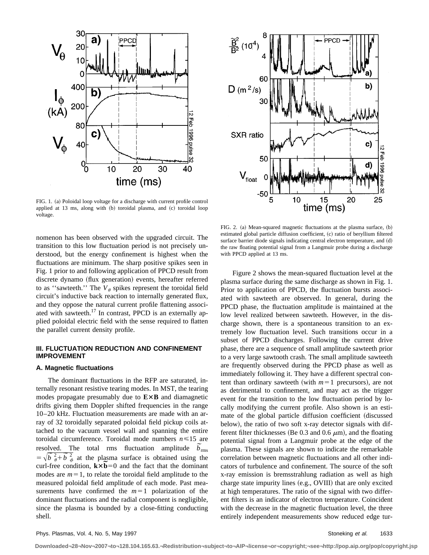

FIG. 1. (a) Poloidal loop voltage for a discharge with current profile control applied at 13 ms, along with (b) toroidal plasma, and (c) toroidal loop voltage.

nomenon has been observed with the upgraded circuit. The transition to this low fluctuation period is not precisely understood, but the energy confinement is highest when the fluctuations are minimum. The sharp positive spikes seen in Fig. 1 prior to and following application of PPCD result from discrete dynamo (flux generation) events, hereafter referred to as "sawteeth." The  $V_{\theta}$  spikes represent the toroidal field circuit's inductive back reaction to internally generated flux, and they oppose the natural current profile flattening associated with sawteeth.<sup>17</sup> In contrast, PPCD is an externally applied poloidal electric field with the sense required to flatten the parallel current density profile.

# **III. FLUCTUATION REDUCTION AND CONFINEMENT IMPROVEMENT**

#### **A. Magnetic fluctuations**

The dominant fluctuations in the RFP are saturated, internally resonant resistive tearing modes. In MST, the tearing modes propagate presumably due to  $E \times B$  and diamagnetic drifts giving them Doppler shifted frequencies in the range 10–20 kHz. Fluctuation measurements are made with an array of 32 toroidally separated poloidal field pickup coils attached to the vacuum vessel wall and spanning the entire toroidal circumference. Toroidal mode numbers *n*<15 are toroidal circumference. Foroidal mode numbers  $n \le 15$  are<br>resolved. The total rms fluctuation amplitude  $\tilde{b}_{\text{rms}}$ resolved. The total rms nuctuation amplitude  $b_{\text{rms}}$ <br>=  $\sqrt{\overline{b}^2 + \overline{b}^2}$  at the plasma surface is obtained using the  $\vec{v} = \sqrt{b} \frac{\vec{b}}{\phi} + b \frac{\vec{c}}{\phi}$  at the plasma surface is obtained using the curl-free condition,  $k \times \vec{b} = 0$  and the fact that the dominant modes are  $m=1$ , to relate the toroidal field amplitude to the measured poloidal field amplitude of each mode. Past measurements have confirmed the  $m=1$  polarization of the dominant fluctuations and the radial component is negligible, since the plasma is bounded by a close-fitting conducting shell.



FIG. 2. (a) Mean-squared magnetic fluctuations at the plasma surface, (b) estimated global particle diffusion coefficient, (c) ratio of beryllium filtered surface barrier diode signals indicating central electron temperature, and  $(d)$ the raw floating potential signal from a Langmuir probe during a discharge with PPCD applied at 13 ms.

Figure 2 shows the mean-squared fluctuation level at the plasma surface during the same discharge as shown in Fig. 1. Prior to application of PPCD, the fluctuation bursts associated with sawteeth are observed. In general, during the PPCD phase, the fluctuation amplitude is maintained at the low level realized between sawteeth. However, in the discharge shown, there is a spontaneous transition to an extremely low fluctuation level. Such transitions occur in a subset of PPCD discharges. Following the current drive phase, there are a sequence of small amplitude sawteeth prior to a very large sawtooth crash. The small amplitude sawteeth are frequently observed during the PPCD phase as well as immediately following it. They have a different spectral content than ordinary sawteeth (with  $m=1$  precursors), are not as detrimental to confinement, and may act as the trigger event for the transition to the low fluctuation period by locally modifying the current profile. Also shown is an estimate of the global particle diffusion coefficient (discussed below), the ratio of two soft x-ray detector signals with different filter thicknesses (Be 0.3 and 0.6  $\mu$ m), and the floating potential signal from a Langmuir probe at the edge of the plasma. These signals are shown to indicate the remarkable correlation between magnetic fluctuations and all other indicators of turbulence and confinement. The source of the soft x-ray emission is bremsstrahlung radiation as well as high charge state impurity lines  $(e.g., OVIII)$  that are only excited at high temperatures. The ratio of the signal with two different filters is an indicator of electron temperature. Coincident with the decrease in the magnetic fluctuation level, the three entirely independent measurements show reduced edge tur-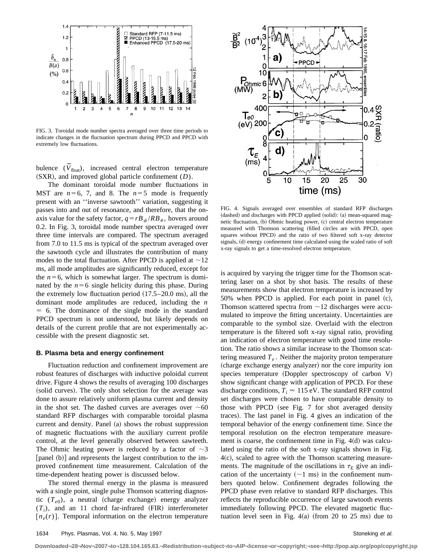

FIG. 3. Toroidal mode number spectra averaged over three time periods to indicate changes in the fluctuation spectrum during PPCD and PPCD with extremely low fluctuations.

bulence  $(\widetilde{V}_{\text{float}})$ , increased central electron temperature  $(SXR)$ , and improved global particle confinement  $(D)$ .

The dominant toroidal mode number fluctuations in MST are  $n=6, 7,$  and 8. The  $n=5$  mode is frequently present with an ''inverse sawtooth'' variation, suggesting it passes into and out of resonance, and therefore, that the onaxis value for the safety factor,  $q = rB_{\phi}/RB_{\theta}$ , hovers around 0.2. In Fig. 3, toroidal mode number spectra averaged over three time intervals are compared. The spectrum averaged from 7.0 to 11.5 ms is typical of the spectrum averaged over the sawtooth cycle and illustrates the contribution of many modes to the total fluctuation. After PPCD is applied at  $\sim$ 12 ms, all mode amplitudes are significantly reduced, except for the  $n=6$ , which is somewhat larger. The spectrum is dominated by the  $n=6$  single helicity during this phase. During the extremely low fluctuation period  $(17.5–20.0 \text{ ms})$ , all the dominant mode amplitudes are reduced, including the *n*  $= 6$ . The dominance of the single mode in the standard PPCD spectrum is not understood, but likely depends on details of the current profile that are not experimentally accessible with the present diagnostic set.

#### **B. Plasma beta and energy confinement**

Fluctuation reduction and confinement improvement are robust features of discharges with inductive poloidal current drive. Figure 4 shows the results of averaging 100 discharges (solid curves). The only shot selection for the average was done to assure relatively uniform plasma current and density in the shot set. The dashed curves are averages over  $~160$ standard RFP discharges with comparable toroidal plasma current and density. Panel  $(a)$  shows the robust suppression of magnetic fluctuations with the auxiliary current profile control, at the level generally observed between sawteeth. The Ohmic heating power is reduced by a factor of  $\sim$ 3  $[panel (b)]$  and represents the largest contribution to the improved confinement time measurement. Calculation of the time-dependent heating power is discussed below.

The stored thermal energy in the plasma is measured with a single point, single pulse Thomson scattering diagnostic  $(T_{e0})$ , a neutral (charge exchange) energy analyzer  $(T_i)$ , and an 11 chord far-infrared  $(FIR)$  interferometer  $[n_e(r)]$ . Temporal information on the electron temperature



FIG. 4. Signals averaged over ensembles of standard RFP discharges (dashed) and discharges with PPCD applied (solid): (a) mean-squared magnetic fluctuation,  $(b)$  Ohmic heating power,  $(c)$  central electron temperature measured with Thomson scattering (filled circles are with PPCD, open squares without PPCD) and the ratio of two filtered soft x-ray detector signals, (d) energy confinement time calculated using the scaled ratio of soft x-ray signals to get a time-resolved electron temperature.

is acquired by varying the trigger time for the Thomson scattering laser on a shot by shot basis. The results of these measurements show that electron temperature is increased by  $50%$  when PPCD is applied. For each point in panel  $(c)$ , Thomson scattered spectra from  $\sim$ 12 discharges were accumulated to improve the fitting uncertainty. Uncertainties are comparable to the symbol size. Overlaid with the electron temperature is the filtered soft x-ray signal ratio, providing an indication of electron temperature with good time resolution. The ratio shows a similar increase to the Thomson scattering measured  $T_e$ . Neither the majority proton temperature (charge exchange energy analyzer) nor the core impurity ion species temperature (Doppler spectroscopy of carbon V) show significant change with application of PPCD. For these discharge conditions,  $T_i \approx 115$  eV. The standard RFP control set discharges were chosen to have comparable density to those with PPCD (see Fig. 7 for shot averaged density traces). The last panel in Fig. 4 gives an indication of the temporal behavior of the energy confinement time. Since the temporal resolution on the electron temperature measurement is coarse, the confinement time in Fig.  $4(d)$  was calculated using the ratio of the soft x-ray signals shown in Fig.  $4(c)$ , scaled to agree with the Thomson scattering measurements. The magnitude of the oscillations in  $\tau_E$  give an indication of the uncertainty  $(\sim 1 \text{ ms})$  in the confinement numbers quoted below. Confinement degrades following the PPCD phase even relative to standard RFP discharges. This reflects the reproducible occurrence of large sawtooth events immediately following PPCD. The elevated magnetic fluctuation level seen in Fig.  $4(a)$  (from 20 to 25 ms) due to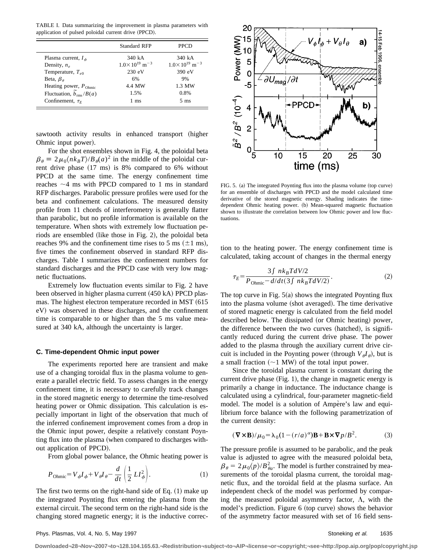TABLE I. Data summarizing the improvement in plasma parameters with application of pulsed poloidal current drive (PPCD).

|                                         | <b>Standard RFP</b>                  | <b>PPCD</b>                          |
|-----------------------------------------|--------------------------------------|--------------------------------------|
| Plasma current, $I_{\phi}$              | 340 kA                               | 340 kA                               |
| Density, $n_e$                          | $1.0 \times 10^{19}$ m <sup>-3</sup> | $1.0 \times 10^{19}$ m <sup>-3</sup> |
| Temperature, $T_{e0}$                   | 230 eV                               | 390 eV                               |
| Beta, $\beta_{\theta}$                  | 6%                                   | 9%                                   |
| Heating power, $P_{Ohmic}$              | 4.4 MW                               | 1.3 MW                               |
| Fluctuation, $\tilde{b}_{\rm rms}/B(a)$ | 1.5%                                 | 0.8%                                 |
| Confinement, $\tau_F$                   | 1 ms                                 | $5 \text{ ms}$                       |

sawtooth activity results in enhanced transport (higher Ohmic input power).

For the shot ensembles shown in Fig. 4, the poloidal beta  $\beta_{\theta} \equiv 2\mu_0 \langle nk_BT\rangle/B_{\theta}(a)^2$  in the middle of the poloidal current drive phase  $(17 \text{ ms})$  is 8% compared to 6% without PPCD at the same time. The energy confinement time reaches  $\sim$ 4 ms with PPCD compared to 1 ms in standard RFP discharges. Parabolic pressure profiles were used for the beta and confinement calculations. The measured density profile from 11 chords of interferometry is generally flatter than parabolic, but no profile information is available on the temperature. When shots with extremely low fluctuation periods are ensembled (like those in Fig. 2), the poloidal beta reaches 9% and the confinement time rises to 5 ms  $(\pm 1 \text{ ms})$ , five times the confinement observed in standard RFP discharges. Table I summarizes the confinement numbers for standard discharges and the PPCD case with very low magnetic fluctuations.

Extremely low fluctuation events similar to Fig. 2 have been observed in higher plasma current (450 kA) PPCD plasmas. The highest electron temperature recorded in MST (615) eV) was observed in these discharges, and the confinement time is comparable to or higher than the 5 ms value measured at 340 kA, although the uncertainty is larger.

#### **C. Time-dependent Ohmic input power**

The experiments reported here are transient and make use of a changing toroidal flux in the plasma volume to generate a parallel electric field. To assess changes in the energy confinement time, it is necessary to carefully track changes in the stored magnetic energy to determine the time-resolved heating power or Ohmic dissipation. This calculation is especially important in light of the observation that much of the inferred confinement improvement comes from a drop in the Ohmic input power, despite a relatively constant Poynting flux into the plasma (when compared to discharges without application of PPCD).

From global power balance, the Ohmic heating power is

$$
P_{\text{Ohmic}} = V_{\phi} I_{\phi} + V_{\theta} I_{\theta} - \frac{d}{dt} \left( \frac{1}{2} L I_{\phi}^2 \right). \tag{1}
$$

The first two terms on the right-hand side of Eq.  $(1)$  make up the integrated Poynting flux entering the plasma from the external circuit. The second term on the right-hand side is the changing stored magnetic energy; it is the inductive correc-



FIG. 5. (a) The integrated Poynting flux into the plasma volume (top curve) for an ensemble of discharges with PPCD and the model calculated time derivative of the stored magnetic energy. Shading indicates the timedependent Ohmic heating power. (b) Mean-squared magnetic fluctuation shown to illustrate the correlation between low Ohmic power and low fluctuations.

tion to the heating power. The energy confinement time is calculated, taking account of changes in the thermal energy

$$
\tau_E = \frac{3 \int n k_B T dV/2}{P_{\text{Ohmic}} - d/dt (3 \int n k_B T dV/2)}.
$$
\n(2)

The top curve in Fig.  $5(a)$  shows the integrated Poynting flux into the plasma volume (shot averaged). The time derivative of stored magnetic energy is calculated from the field model described below. The dissipated (or Ohmic heating) power, the difference between the two curves (hatched), is significantly reduced during the current drive phase. The power added to the plasma through the auxiliary current drive circuit is included in the Poynting power (through  $V_{\theta}I_{\theta}$ ), but is a small fraction  $(\sim)1$  MW) of the total input power.

Since the toroidal plasma current is constant during the current drive phase  $(Fig. 1)$ , the change in magnetic energy is primarily a change in inductance. The inductance change is calculated using a cylindrical, four-parameter magnetic-field model. The model is a solution of Ampère's law and equilibrium force balance with the following parametrization of the current density:

$$
(\nabla \times \mathbf{B})/\mu_0 = \lambda_0 (1 - (r/a)^\alpha) \mathbf{B} + \mathbf{B} \times \nabla p / B^2.
$$
 (3)

The pressure profile is assumed to be parabolic, and the peak value is adjusted to agree with the measured poloidal beta,  $\beta_{\theta} = 2\mu_0 \langle p \rangle/B_{\theta a}^2$ . The model is further constrained by measurements of the toroidal plasma current, the toroidal magnetic flux, and the toroidal field at the plasma surface. An independent check of the model was performed by comparing the measured poloidal asymmetry factor,  $\Lambda$ , with the model's prediction. Figure 6 (top curve) shows the behavior of the asymmetry factor measured with set of 16 field sens-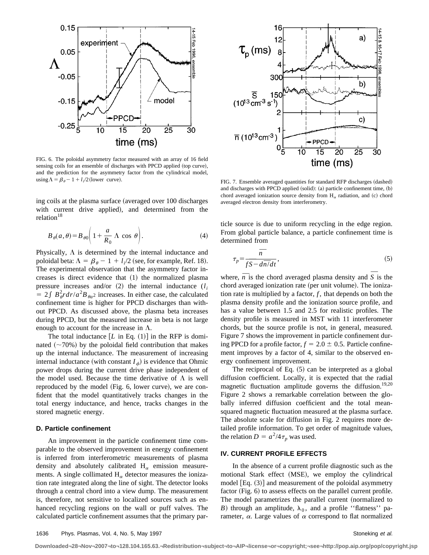

FIG. 6. The poloidal asymmetry factor measured with an array of 16 field sensing coils for an ensemble of discharges with PPCD applied (top curve), and the prediction for the asymmetry factor from the cylindrical model,

ing coils at the plasma surface (averaged over 100 discharges with current drive applied), and determined from the relation<sup>18</sup>

$$
B_{\theta}(a,\theta) = B_{\theta 0} \left( 1 + \frac{a}{R_0} \Lambda \cos \theta \right). \tag{4}
$$

Physically,  $\Lambda$  is determined by the internal inductance and poloidal beta:  $\Lambda = \beta_{\theta} - 1 + l_i/2$  (see, for example, Ref. 18). The experimental observation that the asymmetry factor increases is direct evidence that  $(1)$  the normalized plasma pressure increases and/or  $(2)$  the internal inductance  $(l_i)$  $= 2 \int B_{\theta}^2 r dr/a^2 B_{\theta a^2}$  increases. In either case, the calculated confinement time is higher for PPCD discharges than without PPCD. As discussed above, the plasma beta increases during PPCD, but the measured increase in beta is not large enough to account for the increase in  $\Lambda$ .

The total inductance  $[L \text{ in Eq. } (1)]$  in the RFP is dominated  $(\sim 70\%)$  by the poloidal field contribution that makes up the internal inductance. The measurement of increasing internal inductance (with constant  $I_{\phi}$ ) is evidence that Ohmic power drops during the current drive phase independent of the model used. Because the time derivative of  $\Lambda$  is well reproduced by the model (Fig. 6, lower curve), we are confident that the model quantitatively tracks changes in the total energy inductance, and hence, tracks changes in the stored magnetic energy.

#### **D. Particle confinement**

An improvement in the particle confinement time comparable to the observed improvement in energy confinement is inferred from interferometric measurements of plasma density and absolutely calibrated  $H_{\alpha}$  emission measurements. A single collimated  $H_{\alpha}$  detector measures the ionization rate integrated along the line of sight. The detector looks through a central chord into a view dump. The measurement is, therefore, not sensitive to localized sources such as enhanced recycling regions on the wall or puff valves. The calculated particle confinement assumes that the primary par-



using  $\Lambda = \beta_{\theta} - 1 + l_i/2$  (lower curve). FIG. 7. Ensemble averaged quantities for standard RFP discharges (dashed) and discharges with PPCD applied (solid): (a) particle confinement time,  $(b)$ chord averaged ionization source density from  $H_{\alpha}$  radiation, and (c) chord averaged electron density from interferometry.

ticle source is due to uniform recycling in the edge region. From global particle balance, a particle confinement time is determined from

$$
\tau_p = \frac{\overline{n}}{f\overline{S} - d\overline{n}/dt},\tag{5}
$$

where,  $\overline{n}$  is the chord averaged plasma density and  $\overline{S}$  is the chord averaged ionization rate (per unit volume). The ionization rate is multiplied by a factor,  $f$ , that depends on both the plasma density profile and the ionization source profile, and has a value between 1.5 and 2.5 for realistic profiles. The density profile is measured in MST with 11 interferometer chords, but the source profile is not, in general, measured. Figure 7 shows the improvement in particle confinement during PPCD for a profile factor,  $f = 2.0 \pm 0.5$ . Particle confinement improves by a factor of 4, similar to the observed energy confinement improvement.

The reciprocal of Eq.  $(5)$  can be interpreted as a global diffusion coefficient. Locally, it is expected that the radial magnetic fluctuation amplitude governs the diffusion.<sup>19,20</sup> Figure 2 shows a remarkable correlation between the globally inferred diffusion coefficient and the total meansquared magnetic fluctuation measured at the plasma surface. The absolute scale for diffusion in Fig. 2 requires more detailed profile information. To get order of magnitude values, the relation  $D = a^2/4\tau_p$  was used.

#### **IV. CURRENT PROFILE EFFECTS**

In the absence of a current profile diagnostic such as the motional Stark effect (MSE), we employ the cylindrical model  $[Eq. (3)]$  and measurement of the poloidal asymmetry  $factor$  (Fig. 6) to assess effects on the parallel current profile. The model parametrizes the parallel current (normalized to *B*) through an amplitude,  $\lambda_0$ , and a profile "flatness" parameter,  $\alpha$ . Large values of  $\alpha$  correspond to flat normalized